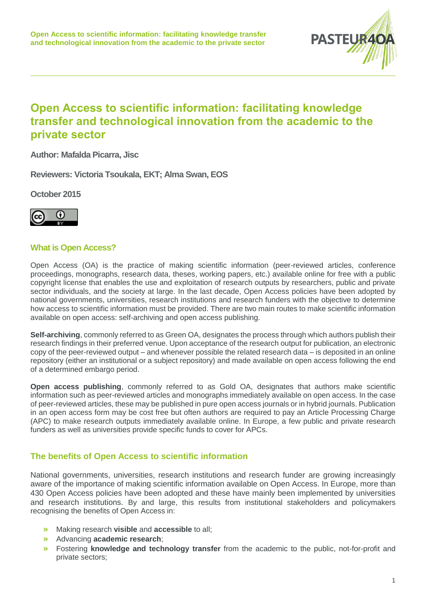

# **Open Access to scientific information: facilitating knowledge transfer and technological innovation from the academic to the private sector**

**Author: Mafalda Picarra, Jisc**

**Reviewers: Victoria Tsoukala, EKT; Alma Swan, EOS**

**October 2015**



# **What is Open Access?**

Open Access (OA) is the practice of making scientific information (peer-reviewed articles, conference proceedings, monographs, research data, theses, working papers, etc.) available online for free with a public copyright license that enables the use and exploitation of research outputs by researchers, public and private sector individuals, and the society at large. In the last decade, Open Access policies have been adopted by national governments, universities, research institutions and research funders with the objective to determine how access to scientific information must be provided. There are two main routes to make scientific information available on open access: self-archiving and open access publishing.

**Self-archiving**, commonly referred to as Green OA, designates the process through which authors publish their research findings in their preferred venue. Upon acceptance of the research output for publication, an electronic copy of the peer-reviewed output – and whenever possible the related research data – is deposited in an online repository (either an institutional or a subject repository) and made available on open access following the end of a determined embargo period.

**Open access publishing, commonly referred to as Gold OA, designates that authors make scientific** information such as peer-reviewed articles and monographs immediately available on open access. In the case of peer-reviewed articles, these may be published in pure open access journals or in hybrid journals. Publication in an open access form may be cost free but often authors are required to pay an Article Processing Charge (APC) to make research outputs immediately available online. In Europe, a few public and private research funders as well as universities provide specific funds to cover for APCs.

### **The benefits of Open Access to scientific information**

National governments, universities, research institutions and research funder are growing increasingly aware of the importance of making scientific information available on Open Access. In Europe, more than 430 Open Access policies have been adopted and these have mainly been implemented by universities and research institutions. By and large, this results from institutional stakeholders and policymakers recognising the benefits of Open Access in:

- **»** Making research **visible** and **accessible** to all;
- **»** Advancing **academic research**;
- **»** Fostering **knowledge and technology transfer** from the academic to the public, not-for-profit and private sectors;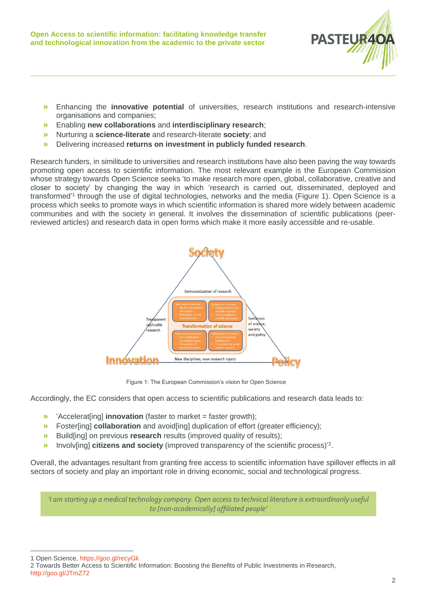

- **»** Enhancing the **innovative potential** of universities, research institutions and research-intensive organisations and companies;
- **»** Enabling **new collaborations** and **interdisciplinary research**;
- **»** Nurturing a **science-literate** and research-literate **society**; and
- **»** Delivering increased **returns on investment in publicly funded research**.

Research funders, in similitude to universities and research institutions have also been paving the way towards promoting open access to scientific information. The most relevant example is the European Commission whose strategy towards Open Science seeks 'to make research more open, global, collaborative, creative and closer to society' by changing the way in which 'research is carried out, disseminated, deployed and transformed<sup>'1</sup> through the use of digital technologies, networks and the media (Figure 1). Open Science is a process which seeks to promote ways in which scientific information is shared more widely between academic communities and with the society in general. It involves the dissemination of scientific publications (peerreviewed articles) and research data in open forms which make it more easily accessible and re-usable.



Figure 1: The European Commission's vision for Open Science

Accordingly, the EC considers that open access to scientific publications and research data leads to:

- **»** 'Accelerat[ing] **innovation** (faster to market = faster growth);
- **»** Foster[ing] **collaboration** and avoid[ing] duplication of effort (greater efficiency);
- **»** Build[ing] on previous **research** results (improved quality of results);
- **»** Involv[ing] citizens and society (improved transparency of the scientific process)<sup>2</sup>.

Overall, the advantages resultant from granting free access to scientific information have spillover effects in all sectors of society and play an important role in driving economic, social and technological progress.

*'I am starting up a medical technology company. Open access to technical literature is extraordinarily useful to [non-academically] affiliated people'* 

1 Open Science[, https://goo.gl/recyGk](https://goo.gl/recyGk)

 $\overline{a}$ 

2 Towards Better Access to Scientific Information: Boosting the Benefits of Public Investments in Research, <http://goo.gl/JTmZ72>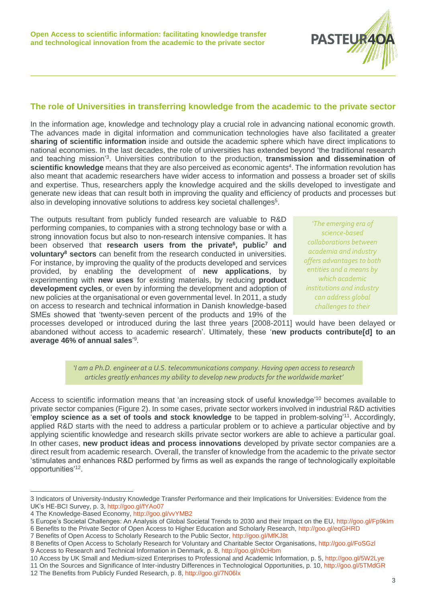

# **The role of Universities in transferring knowledge from the academic to the private sector**

In the information age, knowledge and technology play a crucial role in advancing national economic growth. The advances made in digital information and communication technologies have also facilitated a greater **sharing of scientific information** inside and outside the academic sphere which have direct implications to national economies. In the last decades, the role of universities has extended beyond 'the traditional research and teaching mission'<sup>3</sup> . Universities contribution to the production, **transmission and dissemination of**  scientific knowledge means that they are also perceived as economic agents<sup>4</sup>. The information revolution has also meant that academic researchers have wider access to information and possess a broader set of skills and expertise. Thus, researchers apply the knowledge acquired and the skills developed to investigate and generate new ideas that can result both in improving the quality and efficiency of products and processes but also in developing innovative solutions to address key societal challenges<sup>5</sup>.

The outputs resultant from publicly funded research are valuable to R&D performing companies, to companies with a strong technology base or with a strong innovation focus but also to non-research intensive companies. It has been observed that **research users from the private<sup>6</sup> , public<sup>7</sup> and voluntary<sup>8</sup> sectors** can benefit from the research conducted in universities. For instance, by improving the quality of the products developed and services provided, by enabling the development of **new applications**, by experimenting with **new uses** for existing materials, by reducing **product development cycles**, or even by informing the development and adoption of new policies at the organisational or even governmental level. In 2011, a study on access to research and technical information in Danish knowledge-based SMEs showed that 'twenty-seven percent of the products and 19% of the

*'The emerging era of science-based collaborations between academia and industry offers advantages to both entities and a means by which academic institutions and industry can address global challenges to their* 

processes developed or introduced during the last three years [2008-2011] would have been delayed or abandoned without access to academic research'. Ultimately, these '**new products contribute[d] to an average 46% of annual sales**' 9 .

> *'I am a Ph.D. engineer at a U.S. telecommunications company. Having open access to research articles greatly enhances my ability to develop new products for the worldwide market'*

Access to scientific information means that 'an increasing stock of useful knowledge<sup>'10</sup> becomes available to private sector companies (Figure 2). In some cases, private sector workers involved in industrial R&D activities '**employ science as a set of tools and stock knowledge** to be tapped in problem-solving'<sup>11</sup>. Accordingly, applied R&D starts with the need to address a particular problem or to achieve a particular objective and by applying scientific knowledge and research skills private sector workers are able to achieve a particular goal. In other cases, **new product ideas and process innovations** developed by private sector companies are a direct result from academic research. Overall, the transfer of knowledge from the academic to the private sector 'stimulates and enhances R&D performed by firms as well as expands the range of technologically exploitable opportunities'<sup>12</sup> .

 $\overline{a}$ 3 Indicators of University-Industry Knowledge Transfer Performance and their Implications for Universities: Evidence from the UK's HE-BCI Survey, p. 3,<http://goo.gl/fYAo07>

<sup>4</sup> The Knowledge-Based Economy,<http://goo.gl/vvYMB2>

<sup>5</sup> Europe's Societal Challenges: An Analysis of Global Societal Trends to 2030 and their Impact on the EU[, http://goo.gl/Fp9kIm](http://goo.gl/Fp9kIm) 6 Benefits to the Private Sector of Open Access to Higher Education and Scholarly Research, <http://goo.gl/eqGHRD>

<sup>7</sup> Benefits of Open Access to Scholarly Research to the Public Sector[, http://goo.gl/MfKJ8t](http://goo.gl/MfKJ8t)

<sup>8</sup> Benefits of Open Access to Scholarly Research for Voluntary and Charitable Sector Organisations,<http://goo.gl/FoSGzl>

<sup>9</sup> Access to Research and Technical Information in Denmark, p. 8[, http://goo.gl/n0cHbm](http://goo.gl/n0cHbm)

<sup>10</sup> Access by UK Small and Medium-sized Enterprises to Professional and Academic Information, p. 5[, http://goo.gl/5W2Lye](http://goo.gl/5W2Lye) 11 On the Sources and Significance of Inter-industry Differences in Technological Opportunities, p. 10,<http://goo.gl/5TMdGR>

<sup>12</sup> The Benefits from Publicly Funded Research, p. 8[, http://goo.gl/7N06lx](http://goo.gl/7N06lx)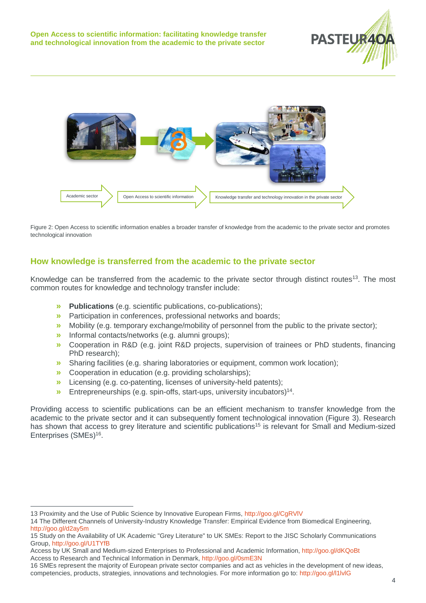



Figure 2: Open Access to scientific information enables a broader transfer of knowledge from the academic to the private sector and promotes technological innovation

# **How knowledge is transferred from the academic to the private sector**

Knowledge can be transferred from the academic to the private sector through distinct routes<sup>13</sup>. The most common routes for knowledge and technology transfer include:

- **» Publications** (e.g. scientific publications, co-publications);
- **»** Participation in conferences, professional networks and boards;
- **»** Mobility (e.g. temporary exchange/mobility of personnel from the public to the private sector);
- **»** Informal contacts/networks (e.g. alumni groups);
- **»** Cooperation in R&D (e.g. joint R&D projects, supervision of trainees or PhD students, financing PhD research);
- **»** Sharing facilities (e.g. sharing laboratories or equipment, common work location);
- **»** Cooperation in education (e.g. providing scholarships);
- **»** Licensing (e.g. co-patenting, licenses of university-held patents);
- » Entrepreneurships (e.g. spin-offs, start-ups, university incubators)<sup>14</sup>.

Providing access to scientific publications can be an efficient mechanism to transfer knowledge from the academic to the private sector and it can subsequently foment technological innovation (Figure 3). Research has shown that access to grey literature and scientific publications<sup>15</sup> is relevant for Small and Medium-sized Enterprises (SMEs) 16 .

 $\overline{a}$ 13 Proximity and the Use of Public Science by Innovative European Firms[, http://goo.gl/CgRVlV](http://goo.gl/CgRVlV)

<sup>14</sup> The Different Channels of University-Industry Knowledge Transfer: Empirical Evidence from Biomedical Engineering, <http://goo.gl/d2ay5m>

<sup>15</sup> Study on the Availability of UK Academic "Grey Literature" to UK SMEs: Report to the JISC Scholarly Communications Group[, http://goo.gl/U1TYfB](http://goo.gl/U1TYfB)

Access by UK Small and Medium-sized Enterprises to Professional and Academic Information[, http://goo.gl/dKQoBt](http://goo.gl/dKQoBt) Access to Research and Technical Information in Denmark,<http://goo.gl/0smE3N>

<sup>16</sup> SMEs represent the majority of European private sector companies and act as vehicles in the development of new ideas, competencies, products, strategies, innovations and technologies. For more information go to[: http://goo.gl/l1lvlG](http://goo.gl/l1lvlG)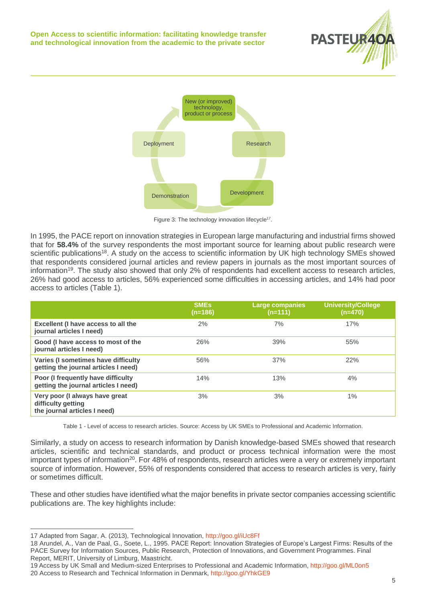



Figure 3: The technology innovation lifecycle<sup>17</sup>.

In 1995, the PACE report on innovation strategies in European large manufacturing and industrial firms showed that for **58.4%** of the survey respondents the most important source for learning about public research were scientific publications<sup>18</sup>. A study on the access to scientific information by UK high technology SMEs showed that respondents considered journal articles and review papers in journals as the most important sources of information<sup>19</sup>. The study also showed that only 2% of respondents had excellent access to research articles, 26% had good access to articles, 56% experienced some difficulties in accessing articles, and 14% had poor access to articles (Table 1).

|                                                                                      | <b>SME<sub>s</sub></b><br>(n=186) | <b>Large companies</b><br>$(n=111)$ | <b>University/College</b><br>$(n=470)$ |
|--------------------------------------------------------------------------------------|-----------------------------------|-------------------------------------|----------------------------------------|
| Excellent (I have access to all the<br>journal articles I need)                      | 2%                                | 7%                                  | 17%                                    |
| Good (I have access to most of the<br>journal articles I need)                       | 26%                               | 39%                                 | 55%                                    |
| Varies (I sometimes have difficulty<br>getting the journal articles I need)          | 56%                               | 37%                                 | 22%                                    |
| Poor (I frequently have difficulty<br>getting the journal articles I need)           | 14%                               | 13%                                 | 4%                                     |
| Very poor (I always have great<br>difficulty getting<br>the journal articles I need) | 3%                                | 3%                                  | 1%                                     |

Table 1 - Level of access to research articles. Source: Access by UK SMEs to Professional and Academic Information.

Similarly, a study on access to research information by Danish knowledge-based SMEs showed that research articles, scientific and technical standards, and product or process technical information were the most important types of information<sup>20</sup>. For 48% of respondents, research articles were a very or extremely important source of information. However, 55% of respondents considered that access to research articles is very, fairly or sometimes difficult.

These and other studies have identified what the major benefits in private sector companies accessing scientific publications are. The key highlights include:

 $\overline{a}$ 17 Adapted from Sagar, A. (2013), Technological Innovation,<http://goo.gl/iUc8Ff>

<sup>18</sup> Arundel, A., Van de Paal, G., Soete, L., 1995. PACE Report: Innovation Strategies of Europe's Largest Firms: Results of the PACE Survey for Information Sources, Public Research, Protection of Innovations, and Government Programmes. Final Report, MERIT, University of Limburg, Maastricht.

<sup>19</sup> Access by UK Small and Medium-sized Enterprises to Professional and Academic Information[, http://goo.gl/ML0on5](http://goo.gl/ML0on5) 20 Access to Research and Technical Information in Denmark, <http://goo.gl/YhkGE9>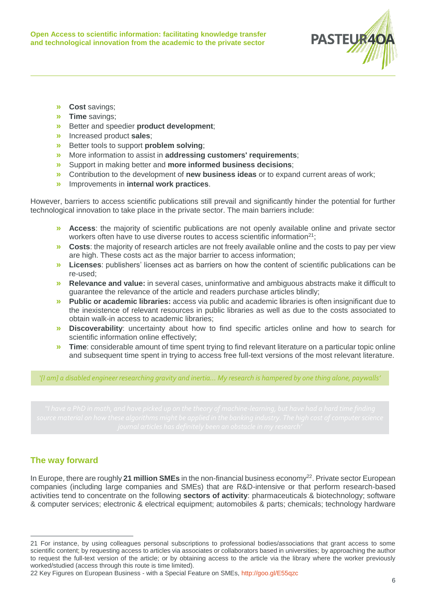

- **» Cost** savings;
- **» Time** savings;
- **»** Better and speedier **product development**;
- **»** Increased product **sales**;
- **»** Better tools to support **problem solving**;
- **»** More information to assist in **addressing customers' requirements**;
- **»** Support in making better and **more informed business decisions**;
- **»** Contribution to the development of **new business ideas** or to expand current areas of work;
- **»** Improvements in **internal work practices**.

However, barriers to access scientific publications still prevail and significantly hinder the potential for further technological innovation to take place in the private sector. The main barriers include:

- **» Access**: the majority of scientific publications are not openly available online and private sector workers often have to use diverse routes to access scientific information<sup>21</sup>;
- **» Costs**: the majority of research articles are not freely available online and the costs to pay per view are high. These costs act as the major barrier to access information;
- **» Licenses**: publishers' licenses act as barriers on how the content of scientific publications can be re-used;
- **» Relevance and value:** in several cases, uninformative and ambiguous abstracts make it difficult to guarantee the relevance of the article and readers purchase articles blindly;
- **» Public or academic libraries:** access via public and academic libraries is often insignificant due to the inexistence of relevant resources in public libraries as well as due to the costs associated to obtain walk-in access to academic libraries;
- **» Discoverability**: uncertainty about how to find specific articles online and how to search for scientific information online effectively;
- **» Time**: considerable amount of time spent trying to find relevant literature on a particular topic online and subsequent time spent in trying to access free full-text versions of the most relevant literature.

*'[I am] a disabled engineer researching gravity and inertia… My research is hampered by one thing alone, paywalls'*

# **The way forward**

 $\overline{a}$ 

In Europe, there are roughly 21 million SMEs in the non-financial business economy<sup>22</sup>. Private sector European companies (including large companies and SMEs) that are R&D-intensive or that perform research-based activities tend to concentrate on the following **sectors of activity**: pharmaceuticals & biotechnology; software & computer services; electronic & electrical equipment; automobiles & parts; chemicals; technology hardware

<sup>21</sup> For instance, by using colleagues personal subscriptions to professional bodies/associations that grant access to some scientific content; by requesting access to articles via associates or collaborators based in universities; by approaching the author to request the full-text version of the article; or by obtaining access to the article via the library where the worker previously worked/studied (access through this route is time limited).

<sup>22</sup> Key Figures on European Business - with a Special Feature on SMEs, <http://goo.gl/E55qzc>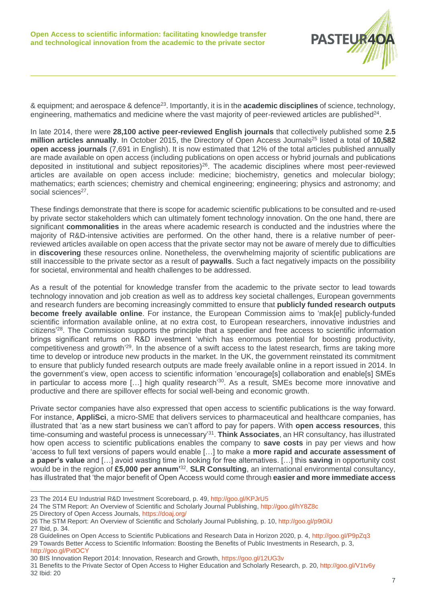

& equipment; and aerospace & defence<sup>23</sup>. Importantly, it is in the **academic disciplines** of science, technology, engineering, mathematics and medicine where the vast majority of peer-reviewed articles are published<sup>24</sup>.

In late 2014, there were **28,100 active peer-reviewed English journals** that collectively published some **2.5 million articles annually.** In October 2015, the Directory of Open Access Journals<sup>25</sup> listed a total of 10,582 **open access journals** (7,691 in English). It is now estimated that 12% of the total articles published annually are made available on open access (including publications on open access or hybrid journals and publications deposited in institutional and subject repositories)<sup>26</sup>. The academic disciplines where most peer-reviewed articles are available on open access include: medicine; biochemistry, genetics and molecular biology; mathematics; earth sciences; chemistry and chemical engineering; engineering; physics and astronomy; and social sciences<sup>27</sup>.

These findings demonstrate that there is scope for academic scientific publications to be consulted and re-used by private sector stakeholders which can ultimately foment technology innovation. On the one hand, there are significant **commonalities** in the areas where academic research is conducted and the industries where the majority of R&D-intensive activities are performed. On the other hand, there is a relative number of peerreviewed articles available on open access that the private sector may not be aware of merely due to difficulties in **discovering** these resources online. Nonetheless, the overwhelming majority of scientific publications are still inaccessible to the private sector as a result of **paywalls**. Such a fact negatively impacts on the possibility for societal, environmental and health challenges to be addressed.

As a result of the potential for knowledge transfer from the academic to the private sector to lead towards technology innovation and job creation as well as to address key societal challenges, European governments and research funders are becoming increasingly committed to ensure that **publicly funded research outputs become freely available online**. For instance, the European Commission aims to 'mak[e] publicly-funded scientific information available online, at no extra cost, to European researchers, innovative industries and citizens<sup>'28</sup>. The Commission supports the principle that a speedier and free access to scientific information brings significant returns on R&D investment 'which has enormous potential for boosting productivity, competitiveness and growth<sup>'29</sup>. In the absence of a swift access to the latest research, firms are taking more time to develop or introduce new products in the market. In the UK, the government reinstated its commitment to ensure that publicly funded research outputs are made freely available online in a report issued in 2014. In the government's view, open access to scientific information 'encourage[s] collaboration and enable[s] SMEs in particular to access more [...] high quality research<sup>'30</sup>. As a result, SMEs become more innovative and productive and there are spillover effects for social well-being and economic growth.

Private sector companies have also expressed that open access to scientific publications is the way forward. For instance, **AppliSci**, a micro-SME that delivers services to pharmaceutical and healthcare companies, has illustrated that 'as a new start business we can't afford to pay for papers. With **open access resources**, this time-consuming and wasteful process is unnecessary'<sup>31</sup> . **Think Associates**, an HR consultancy, has illustrated how open access to scientific publications enables the company to **save costs** in pay per views and how 'access to full text versions of papers would enable […] to make a **more rapid and accurate assessment of a paper's value** and […] avoid wasting time in looking for free alternatives. […] this **saving** in opportunity cost would be in the region of £5,000 per annum<sup>32</sup>. SLR Consulting, an international environmental consultancy, has illustrated that 'the major benefit of Open Access would come through **easier and more immediate access**

 $\overline{a}$ 23 The 2014 EU Industrial R&D Investment Scoreboard, p. 49, <http://goo.gl/KPJrU5>

<sup>24</sup> The STM Report: An Overview of Scientific and Scholarly Journal Publishing,<http://goo.gl/hY8Z8c>

<sup>25</sup> Directory of Open Access Journals[, https://doaj.org/](https://doaj.org/)

<sup>26</sup> The STM Report: An Overview of Scientific and Scholarly Journal Publishing, p. 10, <http://goo.gl/p9t0iU> 27 Ibid, p. 34.

<sup>28</sup> Guidelines on Open Access to Scientific Publications and Research Data in Horizon 2020, p. 4,<http://goo.gl/P9pZq3>

<sup>29</sup> Towards Better Access to Scientific Information: Boosting the Benefits of Public Investments in Research, p. 3, <http://goo.gl/PxtOCY>

<sup>30</sup> BIS Innovation Report 2014: Innovation, Research and Growth, <https://goo.gl/12UG3v>

<sup>31</sup> Benefits to the Private Sector of Open Access to Higher Education and Scholarly Research, p. 20[, http://goo.gl/V1tv6y](http://goo.gl/V1tv6y) 32 Ibid: 20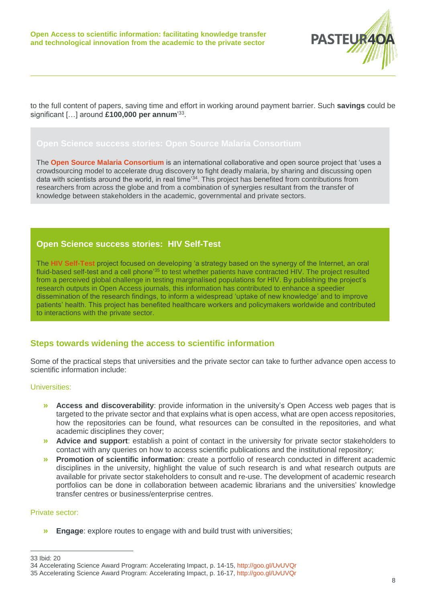

to the full content of papers, saving time and effort in working around payment barrier. Such **savings** could be significant […] around **£100,000 per annum**' 33 .

The **[Open Source Malaria Consortium](http://opensourcemalaria.org/)** is an international collaborative and open source project that 'uses a crowdsourcing model to accelerate drug discovery to fight deadly malaria, by sharing and discussing open data with scientists around the world, in real time'<sup>34</sup>. This project has benefited from contributions from researchers from across the globe and from a combination of synergies resultant from the transfer of knowledge between stakeholders in the academic, governmental and private sectors.

### **Open Science success stories: HIV Self-Test**

The **[HIV Self-Test](https://muhc.ca/newsroom/news/mcgillmuhc-research-team-wins-global-innovation-award-hivsmart-self-screening-strategy-and-app)** project focused on developing 'a strategy based on the synergy of the Internet, an oral fluid-based self-test and a cell phone<sup>'35</sup> to test whether patients have contracted HIV. The project resulted from a perceived global challenge in testing marginalised populations for HIV. By publishing the project's research outputs in Open Access journals, this information has contributed to enhance a speedier dissemination of the research findings, to inform a widespread 'uptake of new knowledge' and to improve patients' health. This project has benefited healthcare workers and policymakers worldwide and contributed to interactions with the private sector.

### **Steps towards widening the access to scientific information**

Some of the practical steps that universities and the private sector can take to further advance open access to scientific information include:

### Universities:

- **» Access and discoverability**: provide information in the university's Open Access web pages that is targeted to the private sector and that explains what is open access, what are open access repositories, how the repositories can be found, what resources can be consulted in the repositories, and what academic disciplines they cover;
- **» Advice and support**: establish a point of contact in the university for private sector stakeholders to contact with any queries on how to access scientific publications and the institutional repository;
- **» Promotion of scientific information**: create a portfolio of research conducted in different academic disciplines in the university, highlight the value of such research is and what research outputs are available for private sector stakeholders to consult and re-use. The development of academic research portfolios can be done in collaboration between academic librarians and the universities' knowledge transfer centres or business/enterprise centres.

### Private sector:

**» Engage**: explore routes to engage with and build trust with universities;

 $\overline{a}$ 

<sup>33</sup> Ibid: 20

<sup>34</sup> Accelerating Science Award Program: Accelerating Impact, p. 14-15[, http://goo.gl/UvUVQr](http://goo.gl/UvUVQr)

<sup>35</sup> Accelerating Science Award Program: Accelerating Impact, p. 16-17,<http://goo.gl/UvUVQr>